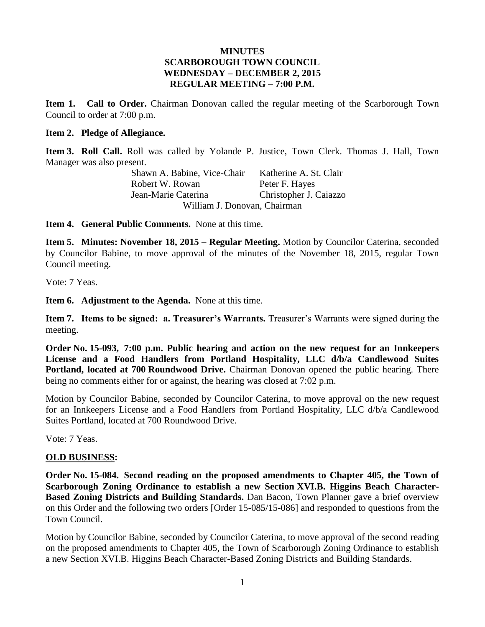## **MINUTES SCARBOROUGH TOWN COUNCIL WEDNESDAY – DECEMBER 2, 2015 REGULAR MEETING – 7:00 P.M.**

**Item 1. Call to Order.** Chairman Donovan called the regular meeting of the Scarborough Town Council to order at 7:00 p.m.

## **Item 2. Pledge of Allegiance.**

**Item 3. Roll Call.** Roll was called by Yolande P. Justice, Town Clerk. Thomas J. Hall, Town Manager was also present.

> Shawn A. Babine, Vice-Chair Katherine A. St. Clair Robert W. Rowan Peter F. Hayes Jean-Marie Caterina Christopher J. Caiazzo William J. Donovan, Chairman

**Item 4. General Public Comments.** None at this time.

**Item 5. Minutes: November 18, 2015 – Regular Meeting.** Motion by Councilor Caterina, seconded by Councilor Babine, to move approval of the minutes of the November 18, 2015, regular Town Council meeting.

Vote: 7 Yeas.

**Item 6. Adjustment to the Agenda.** None at this time.

**Item 7. Items to be signed: a. Treasurer's Warrants.** Treasurer's Warrants were signed during the meeting.

**Order No. 15-093, 7:00 p.m. Public hearing and action on the new request for an Innkeepers License and a Food Handlers from Portland Hospitality, LLC d/b/a Candlewood Suites Portland, located at 700 Roundwood Drive.** Chairman Donovan opened the public hearing. There being no comments either for or against, the hearing was closed at 7:02 p.m.

Motion by Councilor Babine, seconded by Councilor Caterina, to move approval on the new request for an Innkeepers License and a Food Handlers from Portland Hospitality, LLC d/b/a Candlewood Suites Portland, located at 700 Roundwood Drive.

Vote: 7 Yeas.

## **OLD BUSINESS:**

**Order No. 15-084. Second reading on the proposed amendments to Chapter 405, the Town of Scarborough Zoning Ordinance to establish a new Section XVI.B. Higgins Beach Character-Based Zoning Districts and Building Standards.** Dan Bacon, Town Planner gave a brief overview on this Order and the following two orders [Order 15-085/15-086] and responded to questions from the Town Council.

Motion by Councilor Babine, seconded by Councilor Caterina, to move approval of the second reading on the proposed amendments to Chapter 405, the Town of Scarborough Zoning Ordinance to establish a new Section XVI.B. Higgins Beach Character-Based Zoning Districts and Building Standards.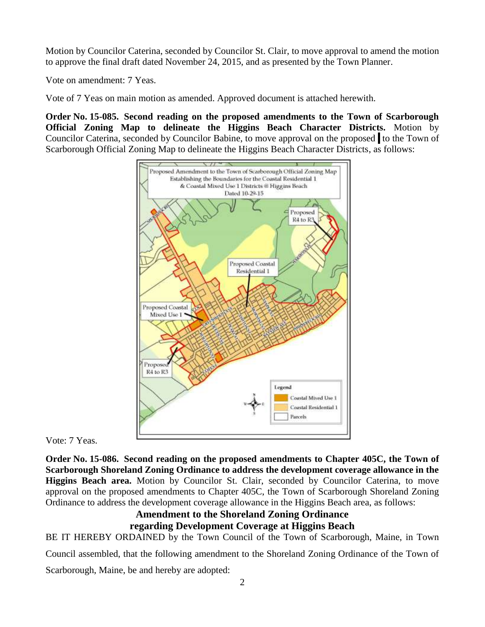Motion by Councilor Caterina, seconded by Councilor St. Clair, to move approval to amend the motion to approve the final draft dated November 24, 2015, and as presented by the Town Planner.

Vote on amendment: 7 Yeas.

Vote of 7 Yeas on main motion as amended. Approved document is attached herewith.

**Order No. 15-085. Second reading on the proposed amendments to the Town of Scarborough Official Zoning Map to delineate the Higgins Beach Character Districts.** Motion by Councilor Caterina, seconded by Councilor Babine, to move approval on the proposed to the Town of Scarborough Official Zoning Map to delineate the Higgins Beach Character Districts, as follows:



Vote: 7 Yeas.

**Order No. 15-086. Second reading on the proposed amendments to Chapter 405C, the Town of Scarborough Shoreland Zoning Ordinance to address the development coverage allowance in the Higgins Beach area.** Motion by Councilor St. Clair, seconded by Councilor Caterina, to move approval on the proposed amendments to Chapter 405C, the Town of Scarborough Shoreland Zoning Ordinance to address the development coverage allowance in the Higgins Beach area, as follows:

# **Amendment to the Shoreland Zoning Ordinance regarding Development Coverage at Higgins Beach**

BE IT HEREBY ORDAINED by the Town Council of the Town of Scarborough, Maine, in Town

Council assembled, that the following amendment to the Shoreland Zoning Ordinance of the Town of

Scarborough, Maine, be and hereby are adopted: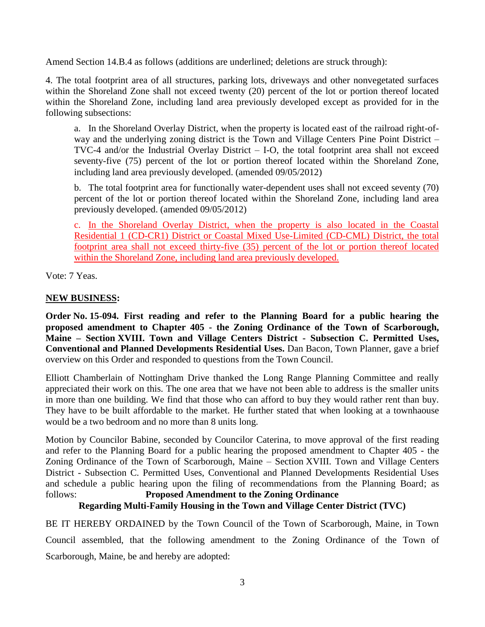Amend Section 14.B.4 as follows (additions are underlined; deletions are struck through):

4. The total footprint area of all structures, parking lots, driveways and other nonvegetated surfaces within the Shoreland Zone shall not exceed twenty (20) percent of the lot or portion thereof located within the Shoreland Zone, including land area previously developed except as provided for in the following subsections:

a. In the Shoreland Overlay District, when the property is located east of the railroad right-ofway and the underlying zoning district is the Town and Village Centers Pine Point District – TVC-4 and/or the Industrial Overlay District – I-O, the total footprint area shall not exceed seventy-five (75) percent of the lot or portion thereof located within the Shoreland Zone, including land area previously developed. (amended 09/05/2012)

b. The total footprint area for functionally water-dependent uses shall not exceed seventy (70) percent of the lot or portion thereof located within the Shoreland Zone, including land area previously developed. (amended 09/05/2012)

c. In the Shoreland Overlay District, when the property is also located in the Coastal Residential 1 (CD-CR1) District or Coastal Mixed Use-Limited (CD-CML) District, the total footprint area shall not exceed thirty-five (35) percent of the lot or portion thereof located within the Shoreland Zone, including land area previously developed.

Vote: 7 Yeas.

# **NEW BUSINESS:**

**Order No. 15-094. First reading and refer to the Planning Board for a public hearing the proposed amendment to Chapter 405 - the Zoning Ordinance of the Town of Scarborough, Maine – Section XVIII. Town and Village Centers District - Subsection C. Permitted Uses, Conventional and Planned Developments Residential Uses.** Dan Bacon, Town Planner, gave a brief overview on this Order and responded to questions from the Town Council.

Elliott Chamberlain of Nottingham Drive thanked the Long Range Planning Committee and really appreciated their work on this. The one area that we have not been able to address is the smaller units in more than one building. We find that those who can afford to buy they would rather rent than buy. They have to be built affordable to the market. He further stated that when looking at a townhaouse would be a two bedroom and no more than 8 units long.

Motion by Councilor Babine, seconded by Councilor Caterina, to move approval of the first reading and refer to the Planning Board for a public hearing the proposed amendment to Chapter 405 - the Zoning Ordinance of the Town of Scarborough, Maine – Section XVIII. Town and Village Centers District - Subsection C. Permitted Uses, Conventional and Planned Developments Residential Uses and schedule a public hearing upon the filing of recommendations from the Planning Board; as follows: **Proposed Amendment to the Zoning Ordinance**

# **Regarding Multi-Family Housing in the Town and Village Center District (TVC)**

BE IT HEREBY ORDAINED by the Town Council of the Town of Scarborough, Maine, in Town Council assembled, that the following amendment to the Zoning Ordinance of the Town of Scarborough, Maine, be and hereby are adopted: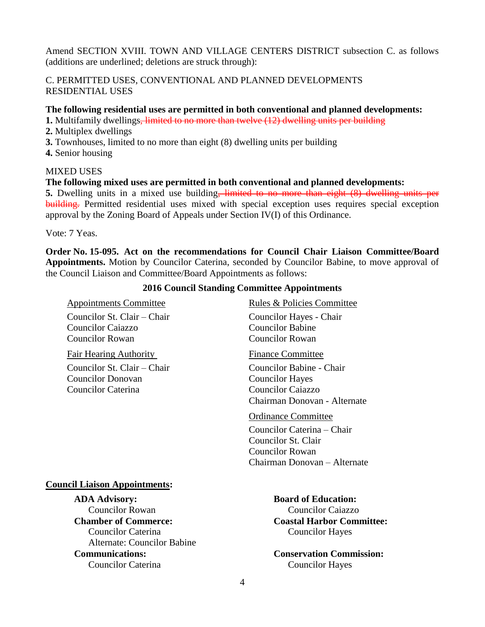Amend SECTION XVIII. TOWN AND VILLAGE CENTERS DISTRICT subsection C. as follows (additions are underlined; deletions are struck through):

# C. PERMITTED USES, CONVENTIONAL AND PLANNED DEVELOPMENTS RESIDENTIAL USES

## **The following residential uses are permitted in both conventional and planned developments:**

**1.** Multifamily dwellings, limited to no more than twelve (12) dwelling units per building

- **2.** Multiplex dwellings
- **3.** Townhouses, limited to no more than eight (8) dwelling units per building
- **4.** Senior housing

## MIXED USES

## **The following mixed uses are permitted in both conventional and planned developments:**

**5.** Dwelling units in a mixed use building<del>, limited to no more than eight (8) dwelling units per</del> building. Permitted residential uses mixed with special exception uses requires special exception approval by the Zoning Board of Appeals under Section IV(I) of this Ordinance.

Vote: 7 Yeas.

**Order No. 15-095. Act on the recommendations for Council Chair Liaison Committee/Board Appointments.** Motion by Councilor Caterina, seconded by Councilor Babine, to move approval of the Council Liaison and Committee/Board Appointments as follows:

#### **2016 Council Standing Committee Appointments**

Appointments Committee Rules & Policies Committee Councilor St. Clair – Chair Councilor Hayes - Chair Councilor Caiazzo Councilor Rowan Councilor Rowan

Fair Hearing Authority Finance Committee Councilor St. Clair – Chair Councilor Babine - Chair Councilor Donovan Councilor Hayes Councilor Caterina Councilor Caiazzo

Chairman Donovan - Alternate

#### Ordinance Committee

Councilor Caterina – Chair Councilor St. Clair Councilor Rowan Chairman Donovan – Alternate

#### **Council Liaison Appointments:**

**ADA Advisory:**<br> **Board of Education:**<br> **Board of Education:**<br> **Board of Education:**<br> **Board of Education: Chamber of Commerce: Coastal Harbor Committee:** Councilor Caterina Councilor Hayes Alternate: Councilor Babine **Communications: Conservation Commission:** Councilor Caterina Councilor Hayes

**Councilor Caiazzo**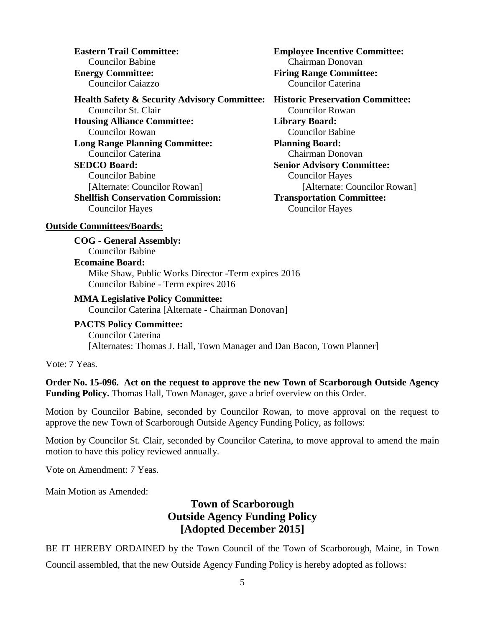Councilor Caiazzo Councilor Caterina

**Health Safety & Security Advisory Committee: Historic Preservation Committee:** Councilor St. Clair Councilor Rowan **Housing Alliance Committee: Library Board:** Councilor Rowan Councilor Babine **Long Range Planning Committee: Planning Board:** Councilor Caterina Chairman Donovan **SEDCO Board: Senior Advisory Committee:** Councilor Babine Councilor Hayes [Alternate: Councilor Rowan] [Alternate: Councilor Rowan] **Shellfish Conservation Commission: Transportation Committee:** Councilor Hayes Councilor Hayes

**Eastern Trail Committee: Employee Incentive Committee:** Councilor Babine Chairman Donovan **Energy Committee: Firing Range Committee:**

#### **Outside Committees/Boards:**

**COG - General Assembly:** Councilor Babine **Ecomaine Board:** Mike Shaw, Public Works Director -Term expires 2016 Councilor Babine - Term expires 2016

#### **MMA Legislative Policy Committee:**

Councilor Caterina [Alternate - Chairman Donovan]

**PACTS Policy Committee:** Councilor Caterina [Alternates: Thomas J. Hall, Town Manager and Dan Bacon, Town Planner]

Vote: 7 Yeas.

**Order No. 15-096. Act on the request to approve the new Town of Scarborough Outside Agency Funding Policy.** Thomas Hall, Town Manager, gave a brief overview on this Order.

Motion by Councilor Babine, seconded by Councilor Rowan, to move approval on the request to approve the new Town of Scarborough Outside Agency Funding Policy, as follows:

Motion by Councilor St. Clair, seconded by Councilor Caterina, to move approval to amend the main motion to have this policy reviewed annually.

Vote on Amendment: 7 Yeas.

Main Motion as Amended:

# **Town of Scarborough Outside Agency Funding Policy [Adopted December 2015]**

BE IT HEREBY ORDAINED by the Town Council of the Town of Scarborough, Maine, in Town Council assembled, that the new Outside Agency Funding Policy is hereby adopted as follows: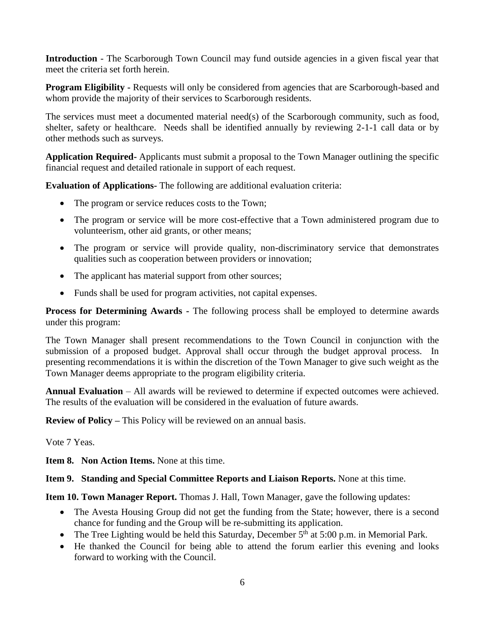**Introduction** - The Scarborough Town Council may fund outside agencies in a given fiscal year that meet the criteria set forth herein.

**Program Eligibility -** Requests will only be considered from agencies that are Scarborough-based and whom provide the majority of their services to Scarborough residents.

The services must meet a documented material need(s) of the Scarborough community, such as food, shelter, safety or healthcare. Needs shall be identified annually by reviewing 2-1-1 call data or by other methods such as surveys.

**Application Required-** Applicants must submit a proposal to the Town Manager outlining the specific financial request and detailed rationale in support of each request.

**Evaluation of Applications-** The following are additional evaluation criteria:

- The program or service reduces costs to the Town;
- The program or service will be more cost-effective that a Town administered program due to volunteerism, other aid grants, or other means;
- The program or service will provide quality, non-discriminatory service that demonstrates qualities such as cooperation between providers or innovation;
- The applicant has material support from other sources;
- Funds shall be used for program activities, not capital expenses.

**Process for Determining Awards -** The following process shall be employed to determine awards under this program:

The Town Manager shall present recommendations to the Town Council in conjunction with the submission of a proposed budget. Approval shall occur through the budget approval process. In presenting recommendations it is within the discretion of the Town Manager to give such weight as the Town Manager deems appropriate to the program eligibility criteria.

**Annual Evaluation** – All awards will be reviewed to determine if expected outcomes were achieved. The results of the evaluation will be considered in the evaluation of future awards.

**Review of Policy –** This Policy will be reviewed on an annual basis.

Vote 7 Yeas.

**Item 8. Non Action Items.** None at this time.

**Item 9. Standing and Special Committee Reports and Liaison Reports.** None at this time.

**Item 10. Town Manager Report.** Thomas J. Hall, Town Manager, gave the following updates:

- The Avesta Housing Group did not get the funding from the State; however, there is a second chance for funding and the Group will be re-submitting its application.
- The Tree Lighting would be held this Saturday, December  $5<sup>th</sup>$  at  $5:00$  p.m. in Memorial Park.
- He thanked the Council for being able to attend the forum earlier this evening and looks forward to working with the Council.